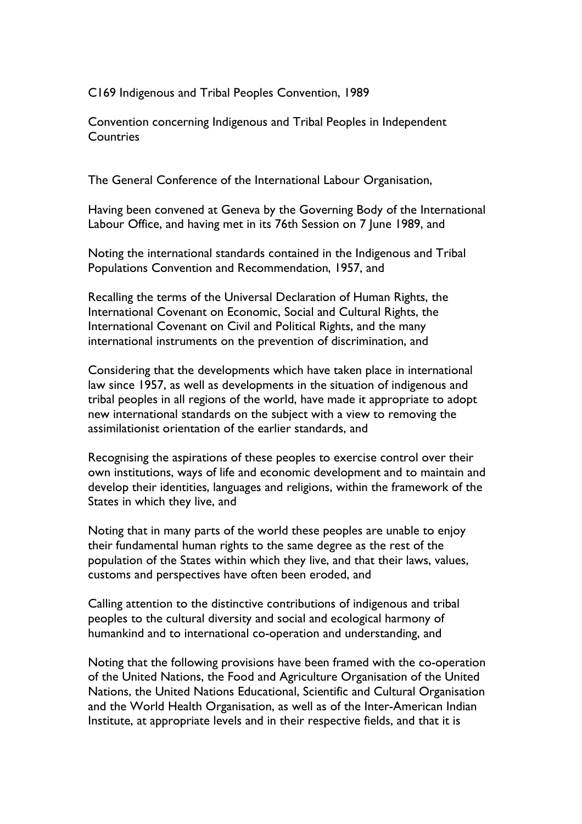C169 Indigenous and Tribal Peoples Convention, 1989

Convention concerning Indigenous and Tribal Peoples in Independent **Countries** 

The General Conference of the International Labour Organisation,

Having been convened at Geneva by the Governing Body of the International Labour Office, and having met in its 76th Session on 7 June 1989, and

Noting the international standards contained in the Indigenous and Tribal Populations Convention and Recommendation, 1957, and

Recalling the terms of the Universal Declaration of Human Rights, the International Covenant on Economic, Social and Cultural Rights, the International Covenant on Civil and Political Rights, and the many international instruments on the prevention of discrimination, and

Considering that the developments which have taken place in international law since 1957, as well as developments in the situation of indigenous and tribal peoples in all regions of the world, have made it appropriate to adopt new international standards on the subject with a view to removing the assimilationist orientation of the earlier standards, and

Recognising the aspirations of these peoples to exercise control over their own institutions, ways of life and economic development and to maintain and develop their identities, languages and religions, within the framework of the States in which they live, and

Noting that in many parts of the world these peoples are unable to enjoy their fundamental human rights to the same degree as the rest of the population of the States within which they live, and that their laws, values, customs and perspectives have often been eroded, and

Calling attention to the distinctive contributions of indigenous and tribal peoples to the cultural diversity and social and ecological harmony of humankind and to international co-operation and understanding, and

Noting that the following provisions have been framed with the co-operation of the United Nations, the Food and Agriculture Organisation of the United Nations, the United Nations Educational, Scientific and Cultural Organisation and the World Health Organisation, as well as of the Inter-American Indian Institute, at appropriate levels and in their respective fields, and that it is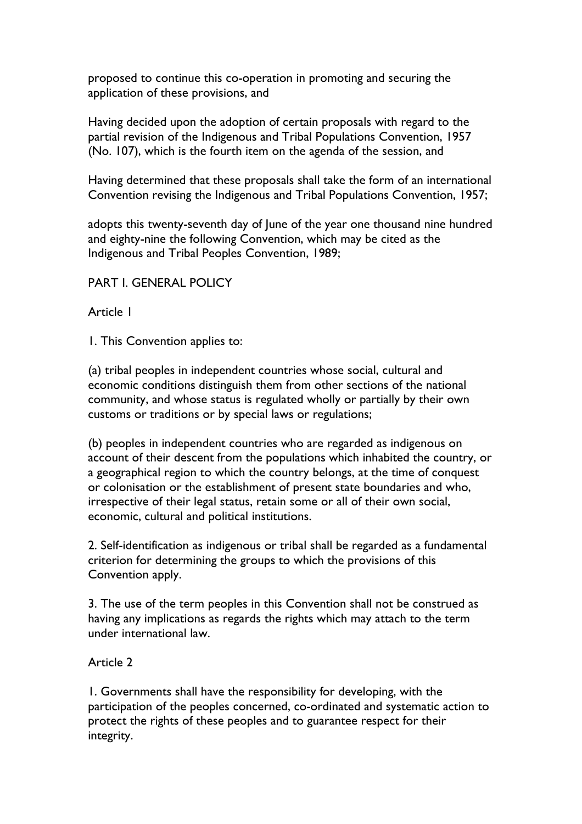proposed to continue this co-operation in promoting and securing the application of these provisions, and

Having decided upon the adoption of certain proposals with regard to the partial revision of the Indigenous and Tribal Populations Convention, 1957 (No. 107), which is the fourth item on the agenda of the session, and

Having determined that these proposals shall take the form of an international Convention revising the Indigenous and Tribal Populations Convention, 1957;

adopts this twenty-seventh day of June of the year one thousand nine hundred and eighty-nine the following Convention, which may be cited as the Indigenous and Tribal Peoples Convention, 1989;

PART I. GENERAL POLICY

Article 1

1. This Convention applies to:

(a) tribal peoples in independent countries whose social, cultural and economic conditions distinguish them from other sections of the national community, and whose status is regulated wholly or partially by their own customs or traditions or by special laws or regulations;

(b) peoples in independent countries who are regarded as indigenous on account of their descent from the populations which inhabited the country, or a geographical region to which the country belongs, at the time of conquest or colonisation or the establishment of present state boundaries and who, irrespective of their legal status, retain some or all of their own social, economic, cultural and political institutions.

2. Self-identification as indigenous or tribal shall be regarded as a fundamental criterion for determining the groups to which the provisions of this Convention apply.

3. The use of the term peoples in this Convention shall not be construed as having any implications as regards the rights which may attach to the term under international law.

Article 2

1. Governments shall have the responsibility for developing, with the participation of the peoples concerned, co-ordinated and systematic action to protect the rights of these peoples and to guarantee respect for their integrity.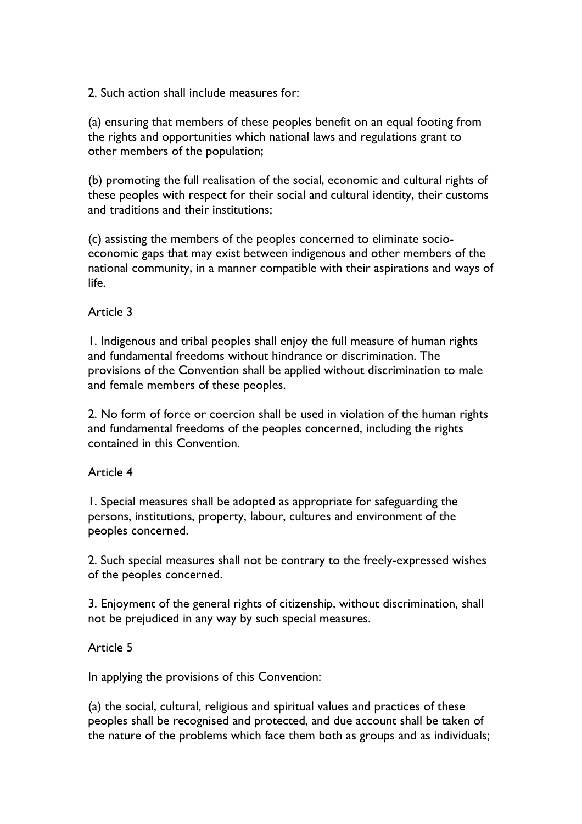2. Such action shall include measures for:

(a) ensuring that members of these peoples benefit on an equal footing from the rights and opportunities which national laws and regulations grant to other members of the population;

(b) promoting the full realisation of the social, economic and cultural rights of these peoples with respect for their social and cultural identity, their customs and traditions and their institutions;

(c) assisting the members of the peoples concerned to eliminate socioeconomic gaps that may exist between indigenous and other members of the national community, in a manner compatible with their aspirations and ways of life.

Article 3

1. Indigenous and tribal peoples shall enjoy the full measure of human rights and fundamental freedoms without hindrance or discrimination. The provisions of the Convention shall be applied without discrimination to male and female members of these peoples.

2. No form of force or coercion shall be used in violation of the human rights and fundamental freedoms of the peoples concerned, including the rights contained in this Convention.

# Article 4

1. Special measures shall be adopted as appropriate for safeguarding the persons, institutions, property, labour, cultures and environment of the peoples concerned.

2. Such special measures shall not be contrary to the freely-expressed wishes of the peoples concerned.

3. Enjoyment of the general rights of citizenship, without discrimination, shall not be prejudiced in any way by such special measures.

# Article 5

In applying the provisions of this Convention:

(a) the social, cultural, religious and spiritual values and practices of these peoples shall be recognised and protected, and due account shall be taken of the nature of the problems which face them both as groups and as individuals;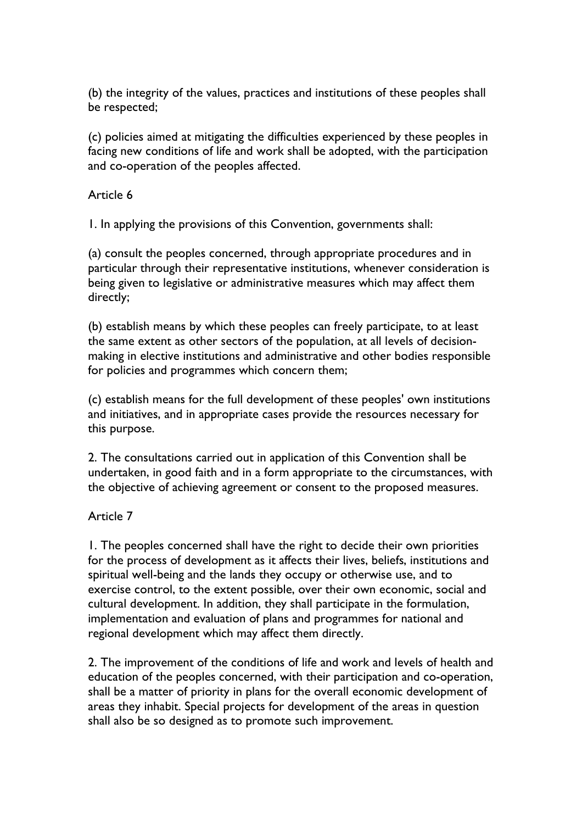(b) the integrity of the values, practices and institutions of these peoples shall be respected;

(c) policies aimed at mitigating the difficulties experienced by these peoples in facing new conditions of life and work shall be adopted, with the participation and co-operation of the peoples affected.

Article 6

1. In applying the provisions of this Convention, governments shall:

(a) consult the peoples concerned, through appropriate procedures and in particular through their representative institutions, whenever consideration is being given to legislative or administrative measures which may affect them directly;

(b) establish means by which these peoples can freely participate, to at least the same extent as other sectors of the population, at all levels of decisionmaking in elective institutions and administrative and other bodies responsible for policies and programmes which concern them;

(c) establish means for the full development of these peoples' own institutions and initiatives, and in appropriate cases provide the resources necessary for this purpose.

2. The consultations carried out in application of this Convention shall be undertaken, in good faith and in a form appropriate to the circumstances, with the objective of achieving agreement or consent to the proposed measures.

## Article 7

1. The peoples concerned shall have the right to decide their own priorities for the process of development as it affects their lives, beliefs, institutions and spiritual well-being and the lands they occupy or otherwise use, and to exercise control, to the extent possible, over their own economic, social and cultural development. In addition, they shall participate in the formulation, implementation and evaluation of plans and programmes for national and regional development which may affect them directly.

2. The improvement of the conditions of life and work and levels of health and education of the peoples concerned, with their participation and co-operation, shall be a matter of priority in plans for the overall economic development of areas they inhabit. Special projects for development of the areas in question shall also be so designed as to promote such improvement.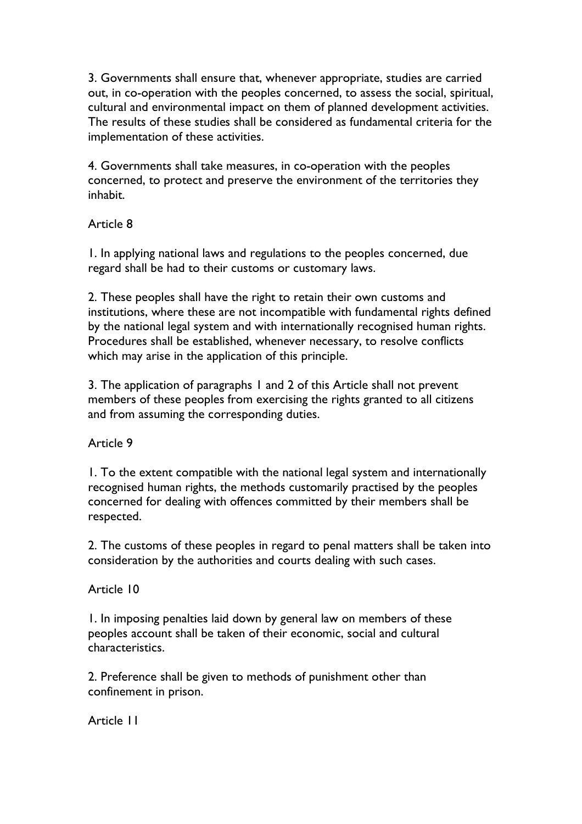3. Governments shall ensure that, whenever appropriate, studies are carried out, in co-operation with the peoples concerned, to assess the social, spiritual, cultural and environmental impact on them of planned development activities. The results of these studies shall be considered as fundamental criteria for the implementation of these activities.

4. Governments shall take measures, in co-operation with the peoples concerned, to protect and preserve the environment of the territories they inhabit.

Article 8

1. In applying national laws and regulations to the peoples concerned, due regard shall be had to their customs or customary laws.

2. These peoples shall have the right to retain their own customs and institutions, where these are not incompatible with fundamental rights defined by the national legal system and with internationally recognised human rights. Procedures shall be established, whenever necessary, to resolve conflicts which may arise in the application of this principle.

3. The application of paragraphs 1 and 2 of this Article shall not prevent members of these peoples from exercising the rights granted to all citizens and from assuming the corresponding duties.

Article 9

1. To the extent compatible with the national legal system and internationally recognised human rights, the methods customarily practised by the peoples concerned for dealing with offences committed by their members shall be respected.

2. The customs of these peoples in regard to penal matters shall be taken into consideration by the authorities and courts dealing with such cases.

Article 10

1. In imposing penalties laid down by general law on members of these peoples account shall be taken of their economic, social and cultural characteristics.

2. Preference shall be given to methods of punishment other than confinement in prison.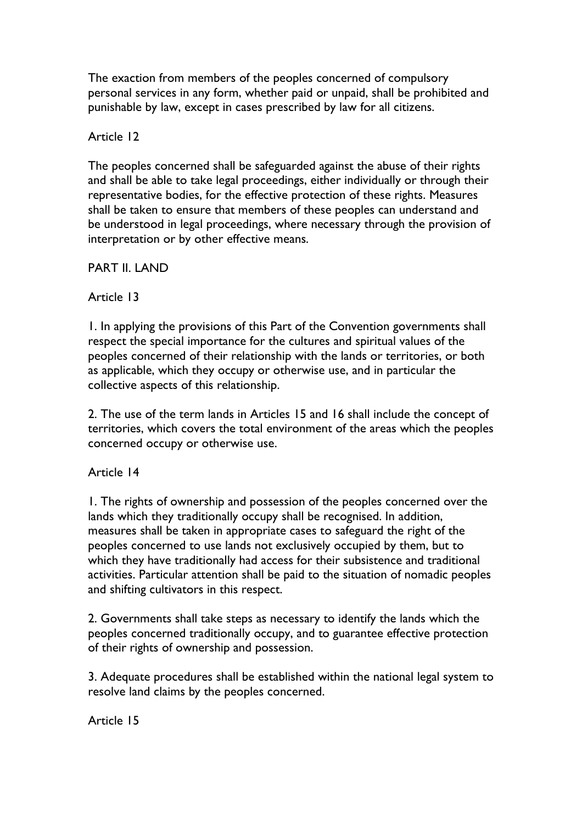The exaction from members of the peoples concerned of compulsory personal services in any form, whether paid or unpaid, shall be prohibited and punishable by law, except in cases prescribed by law for all citizens.

## Article 12

The peoples concerned shall be safeguarded against the abuse of their rights and shall be able to take legal proceedings, either individually or through their representative bodies, for the effective protection of these rights. Measures shall be taken to ensure that members of these peoples can understand and be understood in legal proceedings, where necessary through the provision of interpretation or by other effective means.

PART II. LAND

Article 13

1. In applying the provisions of this Part of the Convention governments shall respect the special importance for the cultures and spiritual values of the peoples concerned of their relationship with the lands or territories, or both as applicable, which they occupy or otherwise use, and in particular the collective aspects of this relationship.

2. The use of the term lands in Articles 15 and 16 shall include the concept of territories, which covers the total environment of the areas which the peoples concerned occupy or otherwise use.

## Article 14

1. The rights of ownership and possession of the peoples concerned over the lands which they traditionally occupy shall be recognised. In addition, measures shall be taken in appropriate cases to safeguard the right of the peoples concerned to use lands not exclusively occupied by them, but to which they have traditionally had access for their subsistence and traditional activities. Particular attention shall be paid to the situation of nomadic peoples and shifting cultivators in this respect.

2. Governments shall take steps as necessary to identify the lands which the peoples concerned traditionally occupy, and to guarantee effective protection of their rights of ownership and possession.

3. Adequate procedures shall be established within the national legal system to resolve land claims by the peoples concerned.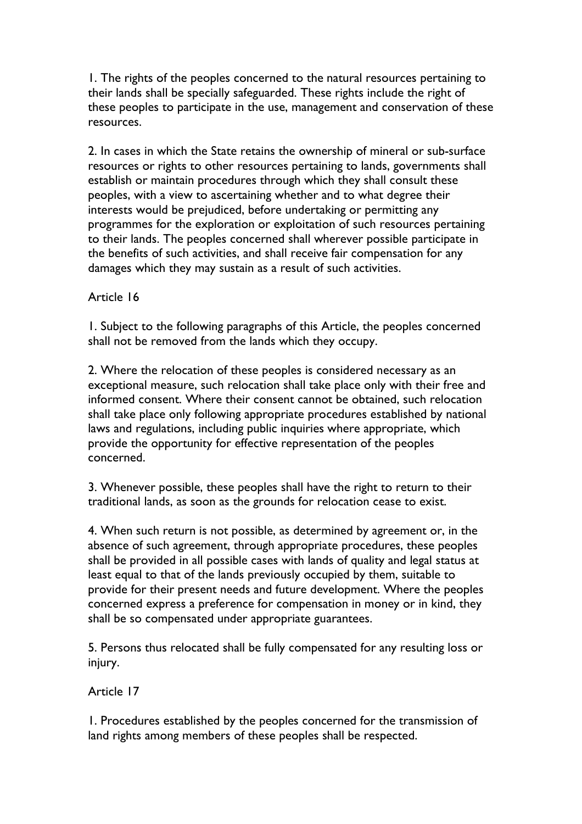1. The rights of the peoples concerned to the natural resources pertaining to their lands shall be specially safeguarded. These rights include the right of these peoples to participate in the use, management and conservation of these resources.

2. In cases in which the State retains the ownership of mineral or sub-surface resources or rights to other resources pertaining to lands, governments shall establish or maintain procedures through which they shall consult these peoples, with a view to ascertaining whether and to what degree their interests would be prejudiced, before undertaking or permitting any programmes for the exploration or exploitation of such resources pertaining to their lands. The peoples concerned shall wherever possible participate in the benefits of such activities, and shall receive fair compensation for any damages which they may sustain as a result of such activities.

## Article 16

1. Subject to the following paragraphs of this Article, the peoples concerned shall not be removed from the lands which they occupy.

2. Where the relocation of these peoples is considered necessary as an exceptional measure, such relocation shall take place only with their free and informed consent. Where their consent cannot be obtained, such relocation shall take place only following appropriate procedures established by national laws and regulations, including public inquiries where appropriate, which provide the opportunity for effective representation of the peoples concerned.

3. Whenever possible, these peoples shall have the right to return to their traditional lands, as soon as the grounds for relocation cease to exist.

4. When such return is not possible, as determined by agreement or, in the absence of such agreement, through appropriate procedures, these peoples shall be provided in all possible cases with lands of quality and legal status at least equal to that of the lands previously occupied by them, suitable to provide for their present needs and future development. Where the peoples concerned express a preference for compensation in money or in kind, they shall be so compensated under appropriate guarantees.

5. Persons thus relocated shall be fully compensated for any resulting loss or injury.

Article 17

1. Procedures established by the peoples concerned for the transmission of land rights among members of these peoples shall be respected.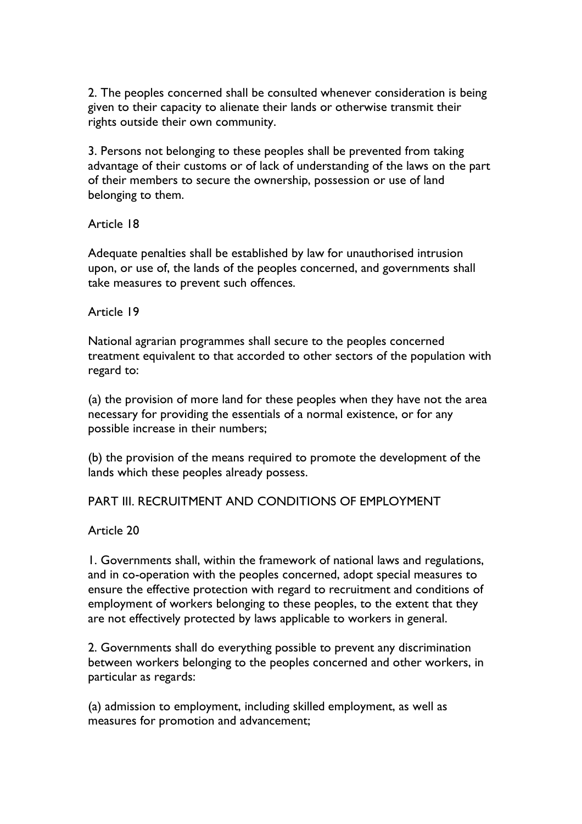2. The peoples concerned shall be consulted whenever consideration is being given to their capacity to alienate their lands or otherwise transmit their rights outside their own community.

3. Persons not belonging to these peoples shall be prevented from taking advantage of their customs or of lack of understanding of the laws on the part of their members to secure the ownership, possession or use of land belonging to them.

Article 18

Adequate penalties shall be established by law for unauthorised intrusion upon, or use of, the lands of the peoples concerned, and governments shall take measures to prevent such offences.

Article 19

National agrarian programmes shall secure to the peoples concerned treatment equivalent to that accorded to other sectors of the population with regard to:

(a) the provision of more land for these peoples when they have not the area necessary for providing the essentials of a normal existence, or for any possible increase in their numbers;

(b) the provision of the means required to promote the development of the lands which these peoples already possess.

PART III. RECRUITMENT AND CONDITIONS OF EMPLOYMENT

Article 20

1. Governments shall, within the framework of national laws and regulations, and in co-operation with the peoples concerned, adopt special measures to ensure the effective protection with regard to recruitment and conditions of employment of workers belonging to these peoples, to the extent that they are not effectively protected by laws applicable to workers in general.

2. Governments shall do everything possible to prevent any discrimination between workers belonging to the peoples concerned and other workers, in particular as regards:

(a) admission to employment, including skilled employment, as well as measures for promotion and advancement;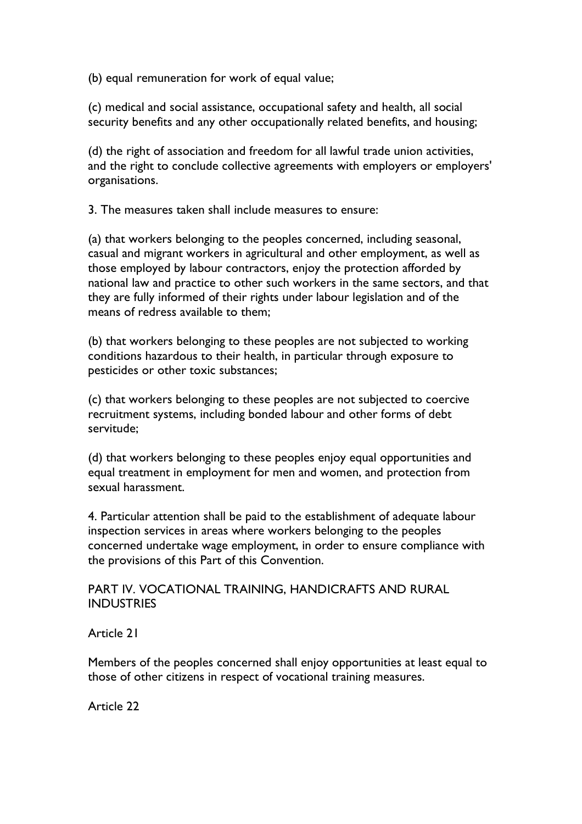(b) equal remuneration for work of equal value;

(c) medical and social assistance, occupational safety and health, all social security benefits and any other occupationally related benefits, and housing;

(d) the right of association and freedom for all lawful trade union activities, and the right to conclude collective agreements with employers or employers' organisations.

3. The measures taken shall include measures to ensure:

(a) that workers belonging to the peoples concerned, including seasonal, casual and migrant workers in agricultural and other employment, as well as those employed by labour contractors, enjoy the protection afforded by national law and practice to other such workers in the same sectors, and that they are fully informed of their rights under labour legislation and of the means of redress available to them;

(b) that workers belonging to these peoples are not subjected to working conditions hazardous to their health, in particular through exposure to pesticides or other toxic substances;

(c) that workers belonging to these peoples are not subjected to coercive recruitment systems, including bonded labour and other forms of debt servitude;

(d) that workers belonging to these peoples enjoy equal opportunities and equal treatment in employment for men and women, and protection from sexual harassment.

4. Particular attention shall be paid to the establishment of adequate labour inspection services in areas where workers belonging to the peoples concerned undertake wage employment, in order to ensure compliance with the provisions of this Part of this Convention.

## PART IV. VOCATIONAL TRAINING, HANDICRAFTS AND RURAL **INDUSTRIES**

Article 21

Members of the peoples concerned shall enjoy opportunities at least equal to those of other citizens in respect of vocational training measures.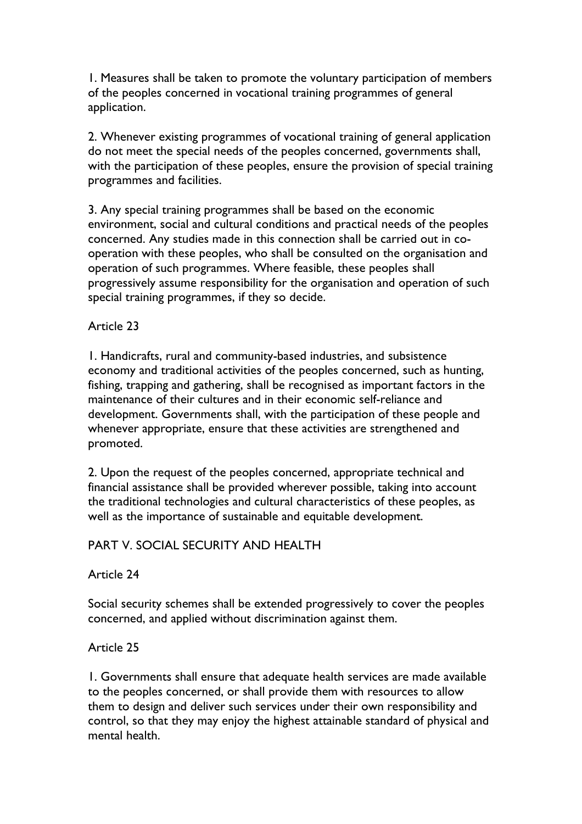1. Measures shall be taken to promote the voluntary participation of members of the peoples concerned in vocational training programmes of general application.

2. Whenever existing programmes of vocational training of general application do not meet the special needs of the peoples concerned, governments shall, with the participation of these peoples, ensure the provision of special training programmes and facilities.

3. Any special training programmes shall be based on the economic environment, social and cultural conditions and practical needs of the peoples concerned. Any studies made in this connection shall be carried out in cooperation with these peoples, who shall be consulted on the organisation and operation of such programmes. Where feasible, these peoples shall progressively assume responsibility for the organisation and operation of such special training programmes, if they so decide.

## Article 23

1. Handicrafts, rural and community-based industries, and subsistence economy and traditional activities of the peoples concerned, such as hunting, fishing, trapping and gathering, shall be recognised as important factors in the maintenance of their cultures and in their economic self-reliance and development. Governments shall, with the participation of these people and whenever appropriate, ensure that these activities are strengthened and promoted.

2. Upon the request of the peoples concerned, appropriate technical and financial assistance shall be provided wherever possible, taking into account the traditional technologies and cultural characteristics of these peoples, as well as the importance of sustainable and equitable development.

# PART V. SOCIAL SECURITY AND HEALTH

Article 24

Social security schemes shall be extended progressively to cover the peoples concerned, and applied without discrimination against them.

# Article 25

1. Governments shall ensure that adequate health services are made available to the peoples concerned, or shall provide them with resources to allow them to design and deliver such services under their own responsibility and control, so that they may enjoy the highest attainable standard of physical and mental health.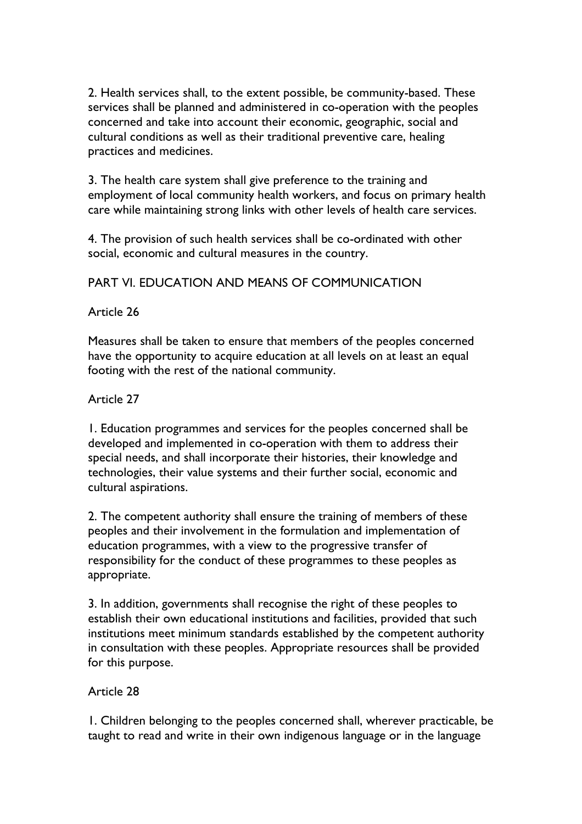2. Health services shall, to the extent possible, be community-based. These services shall be planned and administered in co-operation with the peoples concerned and take into account their economic, geographic, social and cultural conditions as well as their traditional preventive care, healing practices and medicines.

3. The health care system shall give preference to the training and employment of local community health workers, and focus on primary health care while maintaining strong links with other levels of health care services.

4. The provision of such health services shall be co-ordinated with other social, economic and cultural measures in the country.

PART VI. EDUCATION AND MEANS OF COMMUNICATION

Article 26

Measures shall be taken to ensure that members of the peoples concerned have the opportunity to acquire education at all levels on at least an equal footing with the rest of the national community.

Article 27

1. Education programmes and services for the peoples concerned shall be developed and implemented in co-operation with them to address their special needs, and shall incorporate their histories, their knowledge and technologies, their value systems and their further social, economic and cultural aspirations.

2. The competent authority shall ensure the training of members of these peoples and their involvement in the formulation and implementation of education programmes, with a view to the progressive transfer of responsibility for the conduct of these programmes to these peoples as appropriate.

3. In addition, governments shall recognise the right of these peoples to establish their own educational institutions and facilities, provided that such institutions meet minimum standards established by the competent authority in consultation with these peoples. Appropriate resources shall be provided for this purpose.

# Article 28

1. Children belonging to the peoples concerned shall, wherever practicable, be taught to read and write in their own indigenous language or in the language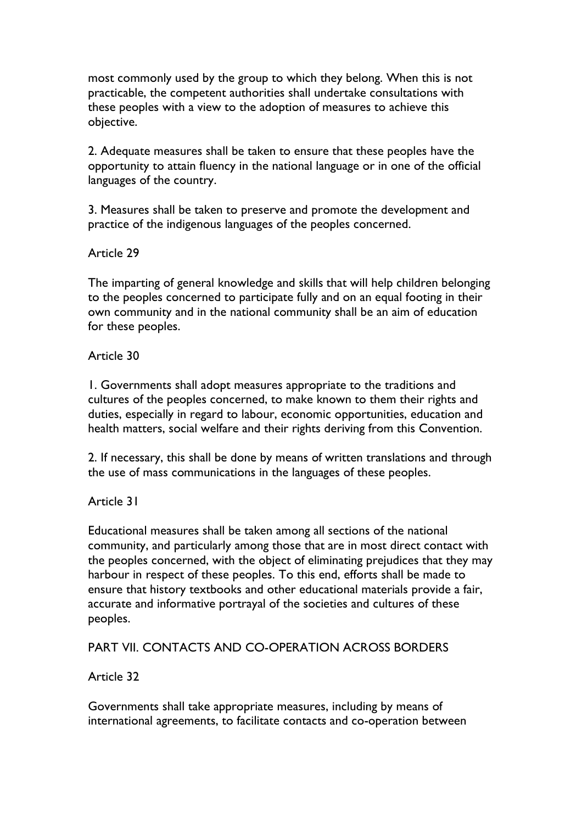most commonly used by the group to which they belong. When this is not practicable, the competent authorities shall undertake consultations with these peoples with a view to the adoption of measures to achieve this objective.

2. Adequate measures shall be taken to ensure that these peoples have the opportunity to attain fluency in the national language or in one of the official languages of the country.

3. Measures shall be taken to preserve and promote the development and practice of the indigenous languages of the peoples concerned.

Article 29

The imparting of general knowledge and skills that will help children belonging to the peoples concerned to participate fully and on an equal footing in their own community and in the national community shall be an aim of education for these peoples.

Article 30

1. Governments shall adopt measures appropriate to the traditions and cultures of the peoples concerned, to make known to them their rights and duties, especially in regard to labour, economic opportunities, education and health matters, social welfare and their rights deriving from this Convention.

2. If necessary, this shall be done by means of written translations and through the use of mass communications in the languages of these peoples.

Article 31

Educational measures shall be taken among all sections of the national community, and particularly among those that are in most direct contact with the peoples concerned, with the object of eliminating prejudices that they may harbour in respect of these peoples. To this end, efforts shall be made to ensure that history textbooks and other educational materials provide a fair, accurate and informative portrayal of the societies and cultures of these peoples.

PART VII. CONTACTS AND CO-OPERATION ACROSS BORDERS

Article 32

Governments shall take appropriate measures, including by means of international agreements, to facilitate contacts and co-operation between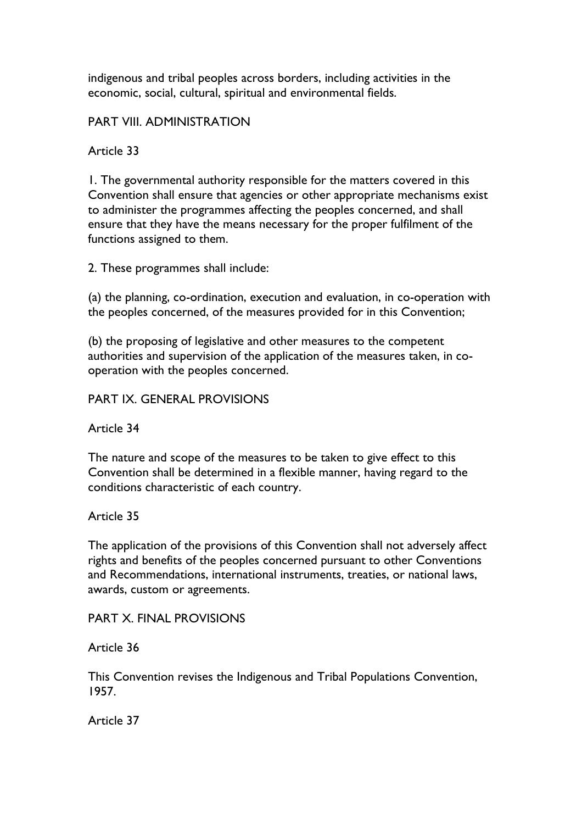indigenous and tribal peoples across borders, including activities in the economic, social, cultural, spiritual and environmental fields.

PART VIII. ADMINISTRATION

Article 33

1. The governmental authority responsible for the matters covered in this Convention shall ensure that agencies or other appropriate mechanisms exist to administer the programmes affecting the peoples concerned, and shall ensure that they have the means necessary for the proper fulfilment of the functions assigned to them.

2. These programmes shall include:

(a) the planning, co-ordination, execution and evaluation, in co-operation with the peoples concerned, of the measures provided for in this Convention;

(b) the proposing of legislative and other measures to the competent authorities and supervision of the application of the measures taken, in cooperation with the peoples concerned.

PART IX. GENERAL PROVISIONS

Article 34

The nature and scope of the measures to be taken to give effect to this Convention shall be determined in a flexible manner, having regard to the conditions characteristic of each country.

Article 35

The application of the provisions of this Convention shall not adversely affect rights and benefits of the peoples concerned pursuant to other Conventions and Recommendations, international instruments, treaties, or national laws, awards, custom or agreements.

PART X. FINAL PROVISIONS

Article 36

This Convention revises the Indigenous and Tribal Populations Convention, 1957.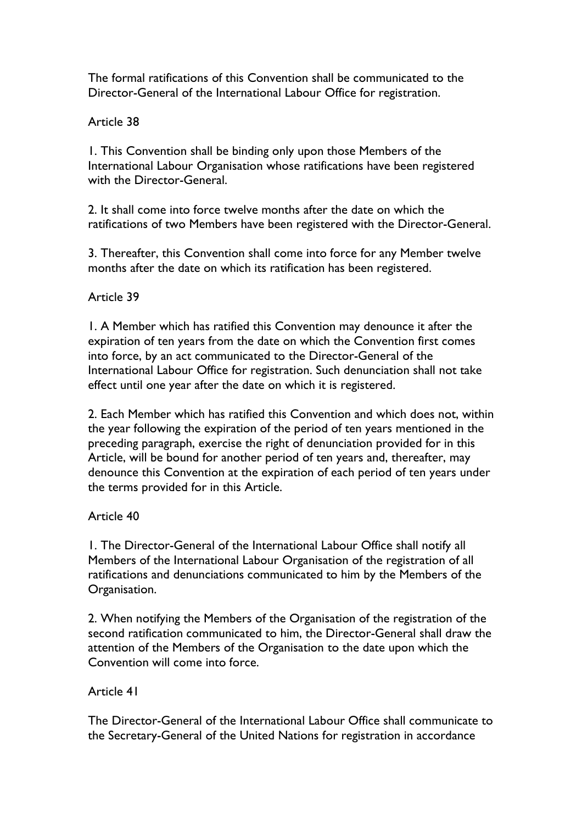The formal ratifications of this Convention shall be communicated to the Director-General of the International Labour Office for registration.

## Article 38

1. This Convention shall be binding only upon those Members of the International Labour Organisation whose ratifications have been registered with the Director-General

2. It shall come into force twelve months after the date on which the ratifications of two Members have been registered with the Director-General.

3. Thereafter, this Convention shall come into force for any Member twelve months after the date on which its ratification has been registered.

## Article 39

1. A Member which has ratified this Convention may denounce it after the expiration of ten years from the date on which the Convention first comes into force, by an act communicated to the Director-General of the International Labour Office for registration. Such denunciation shall not take effect until one year after the date on which it is registered.

2. Each Member which has ratified this Convention and which does not, within the year following the expiration of the period of ten years mentioned in the preceding paragraph, exercise the right of denunciation provided for in this Article, will be bound for another period of ten years and, thereafter, may denounce this Convention at the expiration of each period of ten years under the terms provided for in this Article.

## Article 40

1. The Director-General of the International Labour Office shall notify all Members of the International Labour Organisation of the registration of all ratifications and denunciations communicated to him by the Members of the Organisation.

2. When notifying the Members of the Organisation of the registration of the second ratification communicated to him, the Director-General shall draw the attention of the Members of the Organisation to the date upon which the Convention will come into force.

## Article 41

The Director-General of the International Labour Office shall communicate to the Secretary-General of the United Nations for registration in accordance